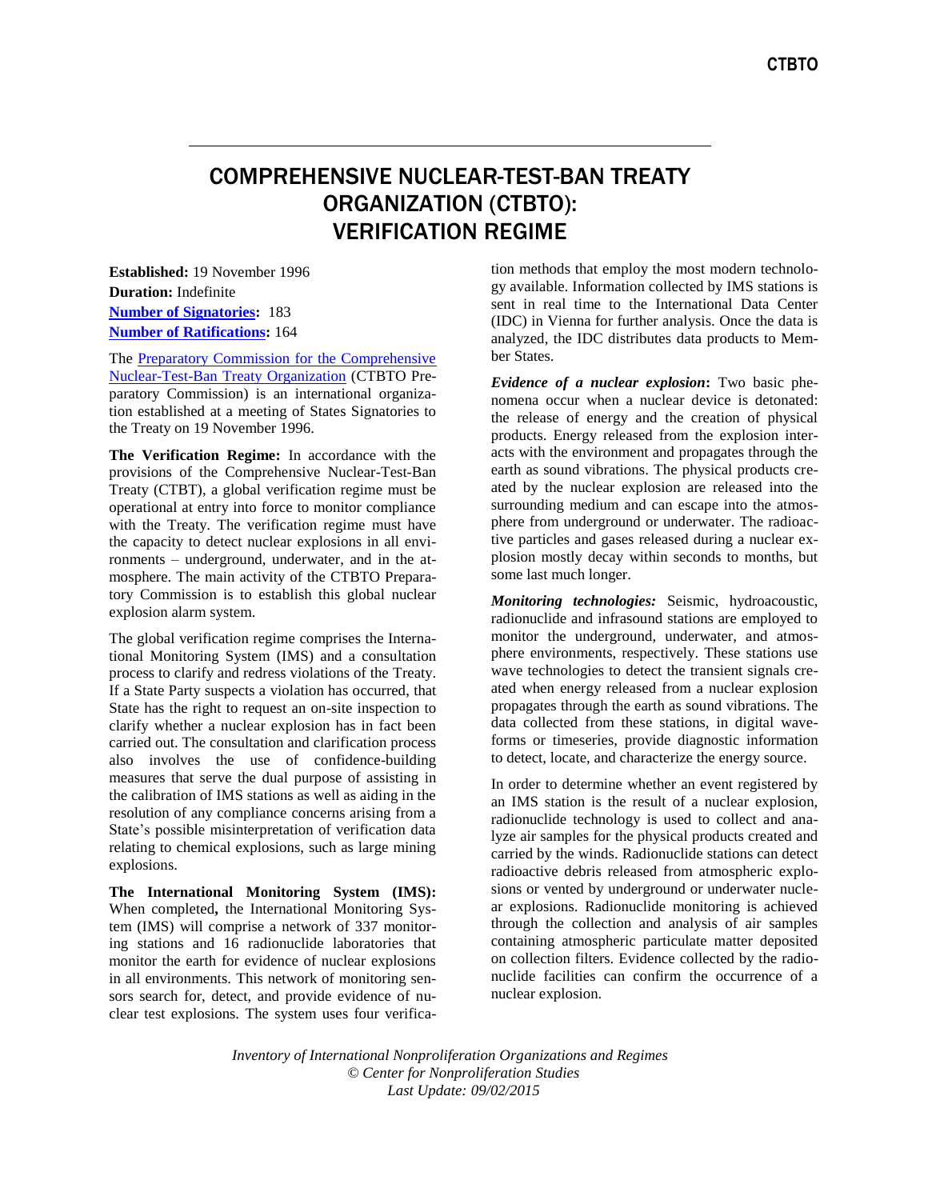# COMPREHENSIVE NUCLEAR-TEST-BAN TREATY ORGANIZATION (CTBTO): VERIFICATION REGIME

**Established:** 19 November 1996 **Duration:** Indefinite **[Number of Signatories:](http://www.ctbto.org/the-treaty/status-of-signature-and-ratification/)** 183 **[Number of Ratifications:](http://www.ctbto.org/the-treaty/status-of-signature-and-ratification/)** 164

The [Preparatory Commission for the Comprehensive](http://www.ctbto.org/)  [Nuclear-Test-Ban Treaty Organization](http://www.ctbto.org/) (CTBTO Preparatory Commission) is an international organization established at a meeting of States Signatories to the Treaty on 19 November 1996.

**The Verification Regime:** In accordance with the provisions of the Comprehensive Nuclear-Test-Ban Treaty (CTBT), a global verification regime must be operational at entry into force to monitor compliance with the Treaty. The verification regime must have the capacity to detect nuclear explosions in all environments – underground, underwater, and in the atmosphere. The main activity of the CTBTO Preparatory Commission is to establish this global nuclear explosion alarm system.

The global verification regime comprises the International Monitoring System (IMS) and a consultation process to clarify and redress violations of the Treaty. If a State Party suspects a violation has occurred, that State has the right to request an on-site inspection to clarify whether a nuclear explosion has in fact been carried out. The consultation and clarification process also involves the use of confidence-building measures that serve the dual purpose of assisting in the calibration of IMS stations as well as aiding in the resolution of any compliance concerns arising from a State's possible misinterpretation of verification data relating to chemical explosions, such as large mining explosions.

**The International Monitoring System (IMS):**  When completed**,** the International Monitoring System (IMS) will comprise a network of 337 monitoring stations and 16 radionuclide laboratories that monitor the earth for evidence of nuclear explosions in all environments. This network of monitoring sensors search for, detect, and provide evidence of nuclear test explosions. The system uses four verification methods that employ the most modern technology available. Information collected by IMS stations is sent in real time to the International Data Center (IDC) in Vienna for further analysis. Once the data is analyzed, the IDC distributes data products to Member States.

*Evidence of a nuclear explosion***:** Two basic phenomena occur when a nuclear device is detonated: the release of energy and the creation of physical products. Energy released from the explosion interacts with the environment and propagates through the earth as sound vibrations. The physical products created by the nuclear explosion are released into the surrounding medium and can escape into the atmosphere from underground or underwater. The radioactive particles and gases released during a nuclear explosion mostly decay within seconds to months, but some last much longer.

*Monitoring technologies:* Seismic, hydroacoustic, radionuclide and infrasound stations are employed to monitor the underground, underwater, and atmosphere environments, respectively. These stations use wave technologies to detect the transient signals created when energy released from a nuclear explosion propagates through the earth as sound vibrations. The data collected from these stations, in digital waveforms or timeseries, provide diagnostic information to detect, locate, and characterize the energy source.

In order to determine whether an event registered by an IMS station is the result of a nuclear explosion, radionuclide technology is used to collect and analyze air samples for the physical products created and carried by the winds. Radionuclide stations can detect radioactive debris released from atmospheric explosions or vented by underground or underwater nuclear explosions. Radionuclide monitoring is achieved through the collection and analysis of air samples containing atmospheric particulate matter deposited on collection filters. Evidence collected by the radionuclide facilities can confirm the occurrence of a nuclear explosion.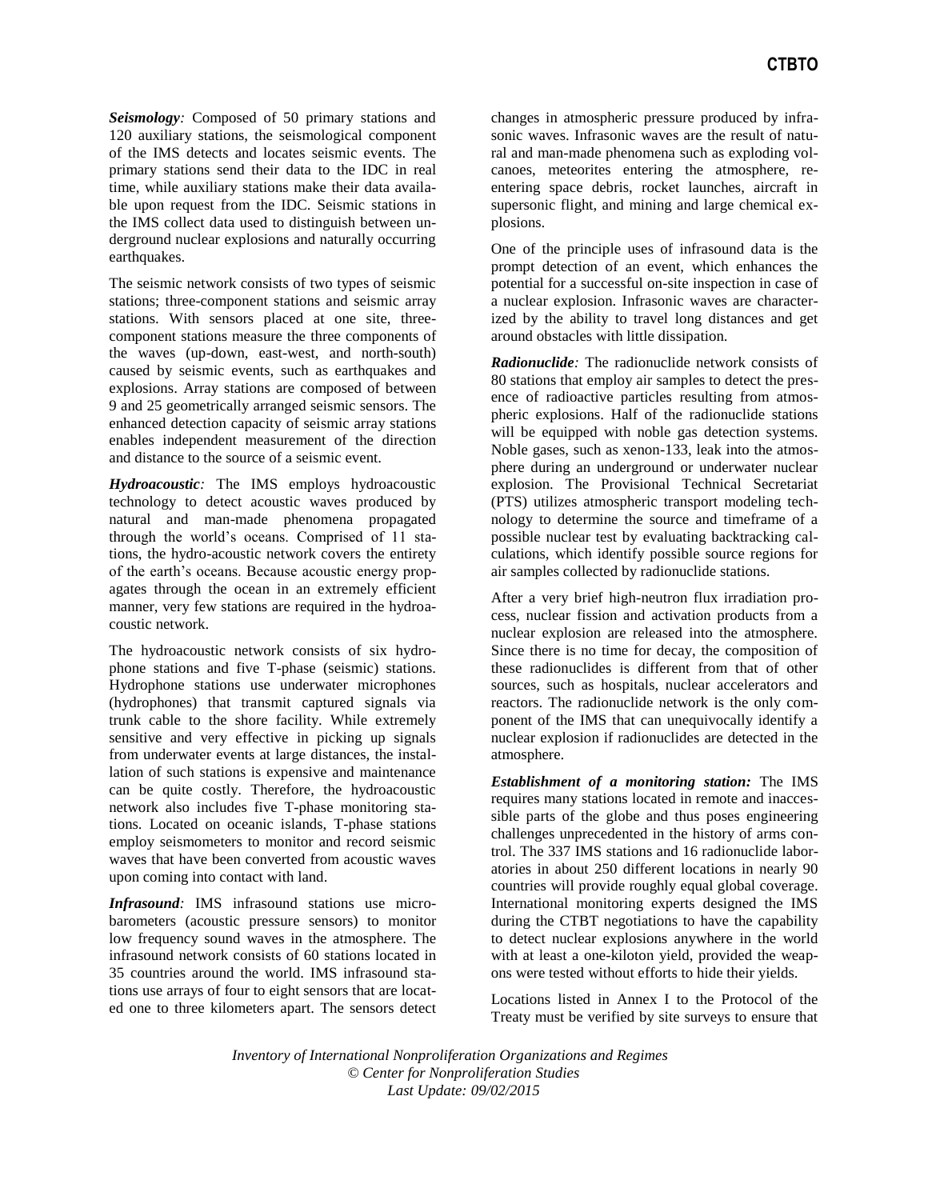*Seismology:* Composed of 50 primary stations and 120 auxiliary stations, the seismological component of the IMS detects and locates seismic events. The primary stations send their data to the IDC in real time, while auxiliary stations make their data available upon request from the IDC. Seismic stations in the IMS collect data used to distinguish between underground nuclear explosions and naturally occurring earthquakes.

The seismic network consists of two types of seismic stations; three-component stations and seismic array stations. With sensors placed at one site, threecomponent stations measure the three components of the waves (up-down, east-west, and north-south) caused by seismic events, such as earthquakes and explosions. Array stations are composed of between 9 and 25 geometrically arranged seismic sensors. The enhanced detection capacity of seismic array stations enables independent measurement of the direction and distance to the source of a seismic event.

*Hydroacoustic:* The IMS employs hydroacoustic technology to detect acoustic waves produced by natural and man-made phenomena propagated through the world's oceans. Comprised of 11 stations, the hydro-acoustic network covers the entirety of the earth's oceans. Because acoustic energy propagates through the ocean in an extremely efficient manner, very few stations are required in the hydroacoustic network.

The hydroacoustic network consists of six hydrophone stations and five T-phase (seismic) stations. Hydrophone stations use underwater microphones (hydrophones) that transmit captured signals via trunk cable to the shore facility. While extremely sensitive and very effective in picking up signals from underwater events at large distances, the installation of such stations is expensive and maintenance can be quite costly. Therefore, the hydroacoustic network also includes five T-phase monitoring stations. Located on oceanic islands, T-phase stations employ seismometers to monitor and record seismic waves that have been converted from acoustic waves upon coming into contact with land.

*Infrasound:* IMS infrasound stations use microbarometers (acoustic pressure sensors) to monitor low frequency sound waves in the atmosphere. The infrasound network consists of 60 stations located in 35 countries around the world. IMS infrasound stations use arrays of four to eight sensors that are located one to three kilometers apart. The sensors detect changes in atmospheric pressure produced by infrasonic waves. Infrasonic waves are the result of natural and man-made phenomena such as exploding volcanoes, meteorites entering the atmosphere, reentering space debris, rocket launches, aircraft in supersonic flight, and mining and large chemical explosions.

One of the principle uses of infrasound data is the prompt detection of an event, which enhances the potential for a successful on-site inspection in case of a nuclear explosion. Infrasonic waves are characterized by the ability to travel long distances and get around obstacles with little dissipation.

*Radionuclide:* The radionuclide network consists of 80 stations that employ air samples to detect the presence of radioactive particles resulting from atmospheric explosions. Half of the radionuclide stations will be equipped with noble gas detection systems. Noble gases, such as xenon-133, leak into the atmosphere during an underground or underwater nuclear explosion. The Provisional Technical Secretariat (PTS) utilizes atmospheric transport modeling technology to determine the source and timeframe of a possible nuclear test by evaluating backtracking calculations, which identify possible source regions for air samples collected by radionuclide stations.

After a very brief high-neutron flux irradiation process, nuclear fission and activation products from a nuclear explosion are released into the atmosphere. Since there is no time for decay, the composition of these radionuclides is different from that of other sources, such as hospitals, nuclear accelerators and reactors. The radionuclide network is the only component of the IMS that can unequivocally identify a nuclear explosion if radionuclides are detected in the atmosphere.

*Establishment of a monitoring station:* The IMS requires many stations located in remote and inaccessible parts of the globe and thus poses engineering challenges unprecedented in the history of arms control. The 337 IMS stations and 16 radionuclide laboratories in about 250 different locations in nearly 90 countries will provide roughly equal global coverage. International monitoring experts designed the IMS during the CTBT negotiations to have the capability to detect nuclear explosions anywhere in the world with at least a one-kiloton yield, provided the weapons were tested without efforts to hide their yields.

Locations listed in Annex I to the Protocol of the Treaty must be verified by site surveys to ensure that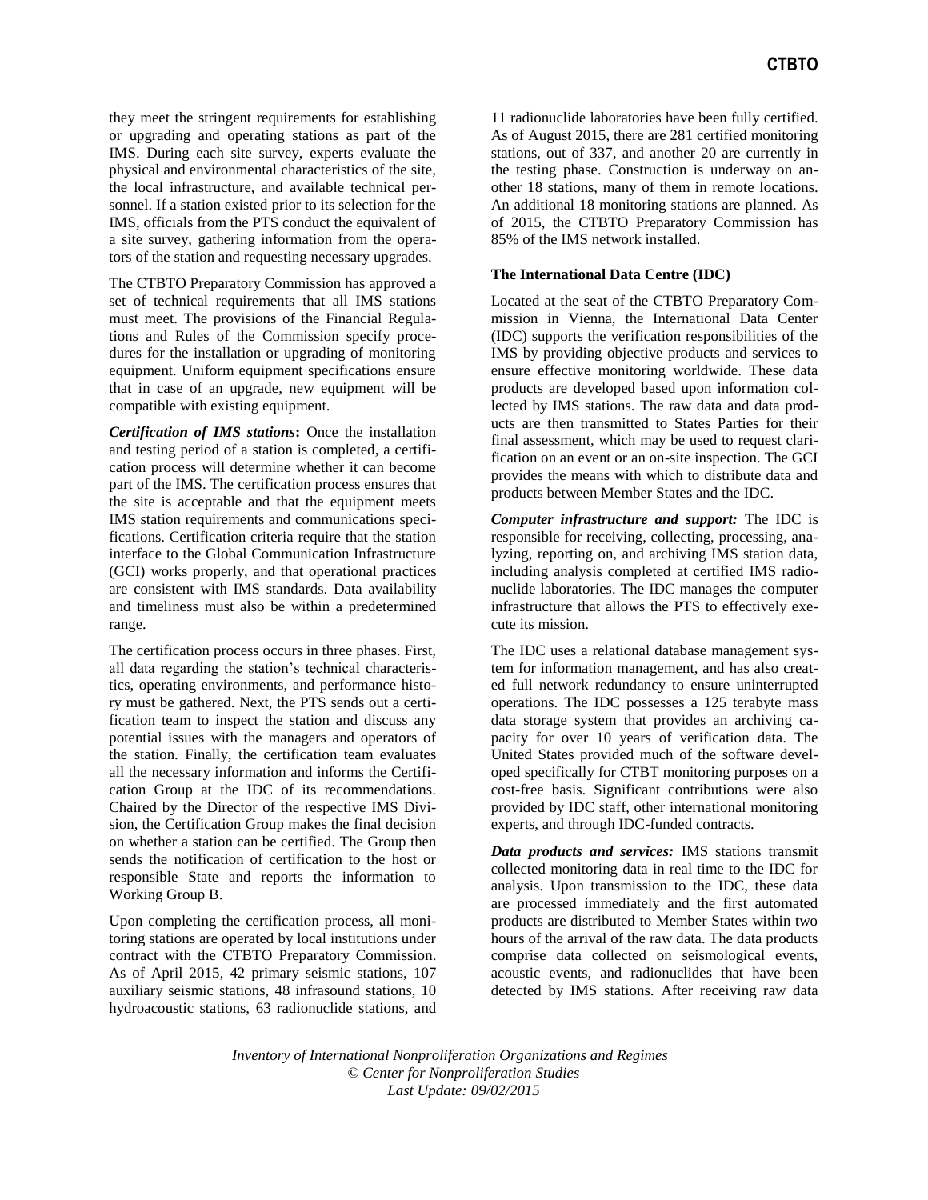they meet the stringent requirements for establishing or upgrading and operating stations as part of the IMS. During each site survey, experts evaluate the physical and environmental characteristics of the site, the local infrastructure, and available technical personnel. If a station existed prior to its selection for the IMS, officials from the PTS conduct the equivalent of a site survey, gathering information from the operators of the station and requesting necessary upgrades.

The CTBTO Preparatory Commission has approved a set of technical requirements that all IMS stations must meet. The provisions of the Financial Regulations and Rules of the Commission specify procedures for the installation or upgrading of monitoring equipment. Uniform equipment specifications ensure that in case of an upgrade, new equipment will be compatible with existing equipment.

*Certification of IMS stations***:** Once the installation and testing period of a station is completed, a certification process will determine whether it can become part of the IMS. The certification process ensures that the site is acceptable and that the equipment meets IMS station requirements and communications specifications. Certification criteria require that the station interface to the Global Communication Infrastructure (GCI) works properly, and that operational practices are consistent with IMS standards. Data availability and timeliness must also be within a predetermined range.

The certification process occurs in three phases. First, all data regarding the station's technical characteristics, operating environments, and performance history must be gathered. Next, the PTS sends out a certification team to inspect the station and discuss any potential issues with the managers and operators of the station. Finally, the certification team evaluates all the necessary information and informs the Certification Group at the IDC of its recommendations. Chaired by the Director of the respective IMS Division, the Certification Group makes the final decision on whether a station can be certified. The Group then sends the notification of certification to the host or responsible State and reports the information to Working Group B.

Upon completing the certification process, all monitoring stations are operated by local institutions under contract with the CTBTO Preparatory Commission. As of April 2015, 42 primary seismic stations, 107 auxiliary seismic stations, 48 infrasound stations, 10 hydroacoustic stations, 63 radionuclide stations, and 11 radionuclide laboratories have been fully certified. As of August 2015, there are 281 certified monitoring stations, out of 337, and another 20 are currently in the testing phase. Construction is underway on another 18 stations, many of them in remote locations. An additional 18 monitoring stations are planned. As of 2015, the CTBTO Preparatory Commission has 85% of the IMS network installed.

### **The International Data Centre (IDC)**

Located at the seat of the CTBTO Preparatory Commission in Vienna, the International Data Center (IDC) supports the verification responsibilities of the IMS by providing objective products and services to ensure effective monitoring worldwide. These data products are developed based upon information collected by IMS stations. The raw data and data products are then transmitted to States Parties for their final assessment, which may be used to request clarification on an event or an on-site inspection. The GCI provides the means with which to distribute data and products between Member States and the IDC.

*Computer infrastructure and support:* The IDC is responsible for receiving, collecting, processing, analyzing, reporting on, and archiving IMS station data, including analysis completed at certified IMS radionuclide laboratories. The IDC manages the computer infrastructure that allows the PTS to effectively execute its mission.

The IDC uses a relational database management system for information management, and has also created full network redundancy to ensure uninterrupted operations. The IDC possesses a 125 terabyte mass data storage system that provides an archiving capacity for over 10 years of verification data. The United States provided much of the software developed specifically for CTBT monitoring purposes on a cost-free basis. Significant contributions were also provided by IDC staff, other international monitoring experts, and through IDC-funded contracts.

*Data products and services:* IMS stations transmit collected monitoring data in real time to the IDC for analysis. Upon transmission to the IDC, these data are processed immediately and the first automated products are distributed to Member States within two hours of the arrival of the raw data. The data products comprise data collected on seismological events, acoustic events, and radionuclides that have been detected by IMS stations. After receiving raw data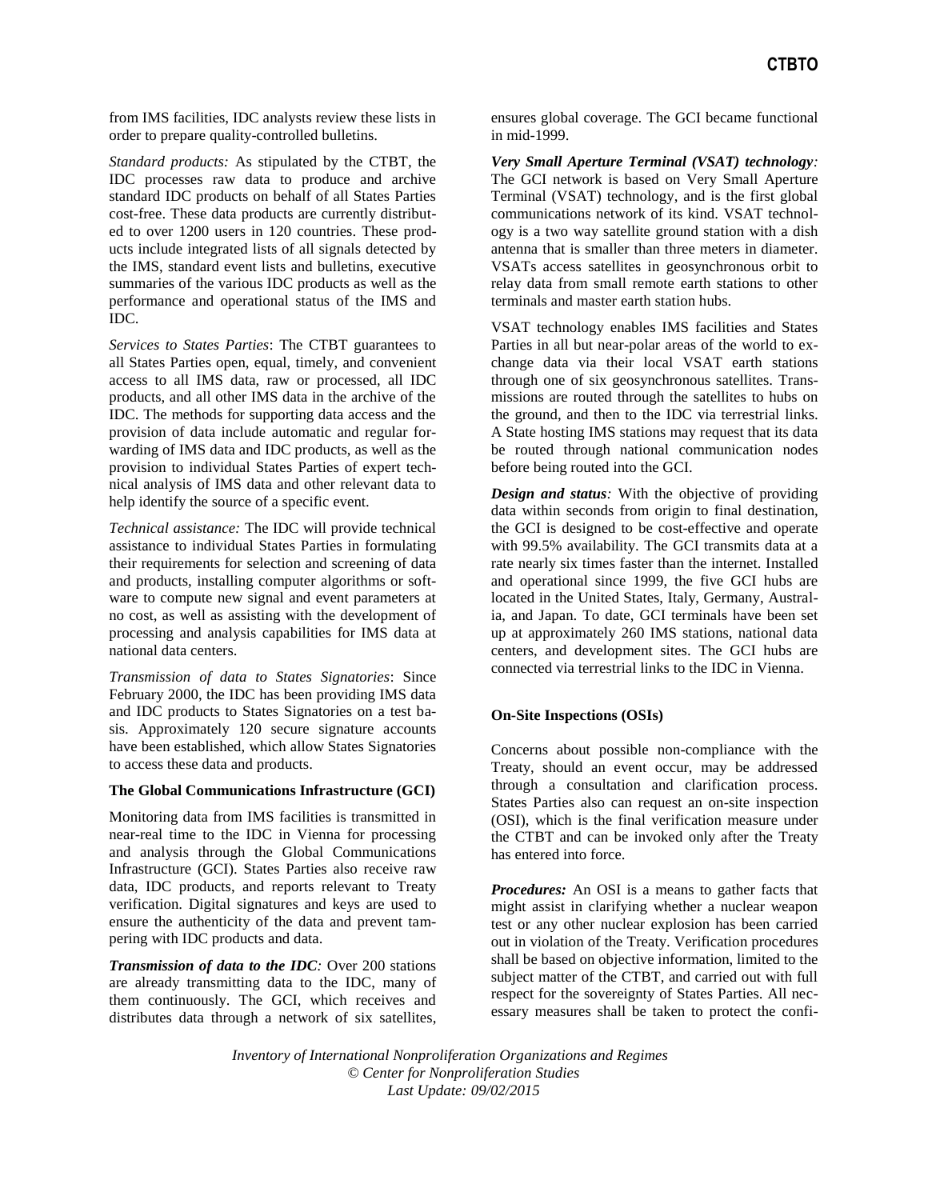from IMS facilities, IDC analysts review these lists in order to prepare quality-controlled bulletins.

*Standard products:* As stipulated by the CTBT, the IDC processes raw data to produce and archive standard IDC products on behalf of all States Parties cost-free. These data products are currently distributed to over 1200 users in 120 countries. These products include integrated lists of all signals detected by the IMS, standard event lists and bulletins, executive summaries of the various IDC products as well as the performance and operational status of the IMS and IDC.

*Services to States Parties*: The CTBT guarantees to all States Parties open, equal, timely, and convenient access to all IMS data, raw or processed, all IDC products, and all other IMS data in the archive of the IDC. The methods for supporting data access and the provision of data include automatic and regular forwarding of IMS data and IDC products, as well as the provision to individual States Parties of expert technical analysis of IMS data and other relevant data to help identify the source of a specific event.

*Technical assistance:* The IDC will provide technical assistance to individual States Parties in formulating their requirements for selection and screening of data and products, installing computer algorithms or software to compute new signal and event parameters at no cost, as well as assisting with the development of processing and analysis capabilities for IMS data at national data centers.

*Transmission of data to States Signatories*: Since February 2000, the IDC has been providing IMS data and IDC products to States Signatories on a test basis. Approximately 120 secure signature accounts have been established, which allow States Signatories to access these data and products.

#### **The Global Communications Infrastructure (GCI)**

Monitoring data from IMS facilities is transmitted in near-real time to the IDC in Vienna for processing and analysis through the Global Communications Infrastructure (GCI). States Parties also receive raw data, IDC products, and reports relevant to Treaty verification. Digital signatures and keys are used to ensure the authenticity of the data and prevent tampering with IDC products and data.

*Transmission of data to the IDC:* Over 200 stations are already transmitting data to the IDC, many of them continuously. The GCI, which receives and distributes data through a network of six satellites, ensures global coverage. The GCI became functional in mid-1999.

*Very Small Aperture Terminal (VSAT) technology:*  The GCI network is based on Very Small Aperture Terminal (VSAT) technology, and is the first global communications network of its kind. VSAT technology is a two way satellite ground station with a dish antenna that is smaller than three meters in diameter. VSATs access satellites in geosynchronous orbit to relay data from small remote earth stations to other terminals and master earth station hubs.

VSAT technology enables IMS facilities and States Parties in all but near-polar areas of the world to exchange data via their local VSAT earth stations through one of six geosynchronous satellites. Transmissions are routed through the satellites to hubs on the ground, and then to the IDC via terrestrial links. A State hosting IMS stations may request that its data be routed through national communication nodes before being routed into the GCI.

*Design and status:* With the objective of providing data within seconds from origin to final destination, the GCI is designed to be cost-effective and operate with 99.5% availability. The GCI transmits data at a rate nearly six times faster than the internet. Installed and operational since 1999, the five GCI hubs are located in the United States, Italy, Germany, Australia, and Japan. To date, GCI terminals have been set up at approximately 260 IMS stations, national data centers, and development sites. The GCI hubs are connected via terrestrial links to the IDC in Vienna.

## **On-Site Inspections (OSIs)**

Concerns about possible non-compliance with the Treaty, should an event occur, may be addressed through a consultation and clarification process. States Parties also can request an on-site inspection (OSI), which is the final verification measure under the CTBT and can be invoked only after the Treaty has entered into force.

*Procedures:* An OSI is a means to gather facts that might assist in clarifying whether a nuclear weapon test or any other nuclear explosion has been carried out in violation of the Treaty. Verification procedures shall be based on objective information, limited to the subject matter of the CTBT, and carried out with full respect for the sovereignty of States Parties. All necessary measures shall be taken to protect the confi-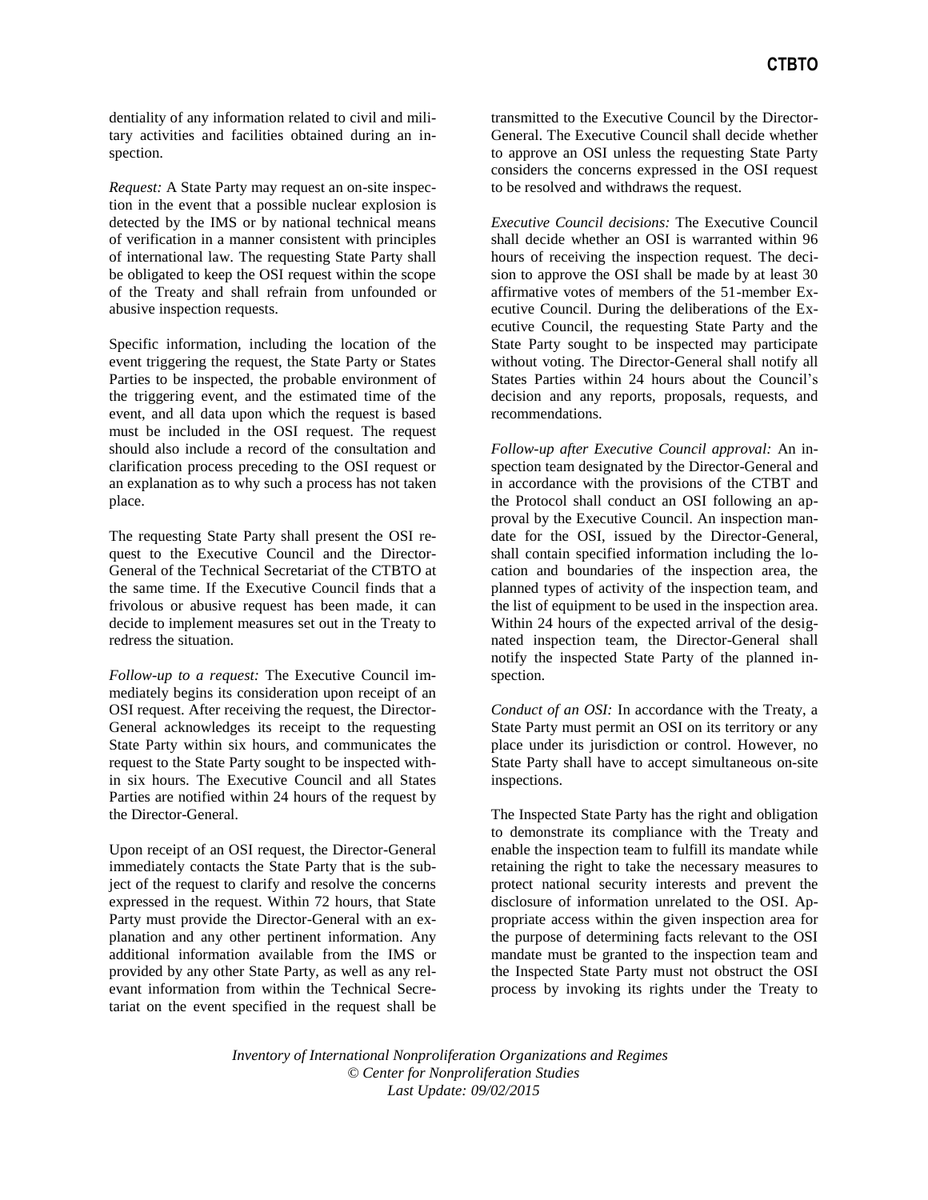dentiality of any information related to civil and military activities and facilities obtained during an inspection.

*Request:* A State Party may request an on-site inspection in the event that a possible nuclear explosion is detected by the IMS or by national technical means of verification in a manner consistent with principles of international law. The requesting State Party shall be obligated to keep the OSI request within the scope of the Treaty and shall refrain from unfounded or abusive inspection requests.

Specific information, including the location of the event triggering the request, the State Party or States Parties to be inspected, the probable environment of the triggering event, and the estimated time of the event, and all data upon which the request is based must be included in the OSI request. The request should also include a record of the consultation and clarification process preceding to the OSI request or an explanation as to why such a process has not taken place.

The requesting State Party shall present the OSI request to the Executive Council and the Director-General of the Technical Secretariat of the CTBTO at the same time. If the Executive Council finds that a frivolous or abusive request has been made, it can decide to implement measures set out in the Treaty to redress the situation.

*Follow-up to a request:* The Executive Council immediately begins its consideration upon receipt of an OSI request. After receiving the request, the Director-General acknowledges its receipt to the requesting State Party within six hours, and communicates the request to the State Party sought to be inspected within six hours. The Executive Council and all States Parties are notified within 24 hours of the request by the Director-General.

Upon receipt of an OSI request, the Director-General immediately contacts the State Party that is the subject of the request to clarify and resolve the concerns expressed in the request. Within 72 hours, that State Party must provide the Director-General with an explanation and any other pertinent information. Any additional information available from the IMS or provided by any other State Party, as well as any relevant information from within the Technical Secretariat on the event specified in the request shall be

transmitted to the Executive Council by the Director-General. The Executive Council shall decide whether to approve an OSI unless the requesting State Party considers the concerns expressed in the OSI request to be resolved and withdraws the request.

*Executive Council decisions:* The Executive Council shall decide whether an OSI is warranted within 96 hours of receiving the inspection request. The decision to approve the OSI shall be made by at least 30 affirmative votes of members of the 51-member Executive Council. During the deliberations of the Executive Council, the requesting State Party and the State Party sought to be inspected may participate without voting. The Director-General shall notify all States Parties within 24 hours about the Council's decision and any reports, proposals, requests, and recommendations.

*Follow-up after Executive Council approval:* An inspection team designated by the Director-General and in accordance with the provisions of the CTBT and the Protocol shall conduct an OSI following an approval by the Executive Council. An inspection mandate for the OSI, issued by the Director-General, shall contain specified information including the location and boundaries of the inspection area, the planned types of activity of the inspection team, and the list of equipment to be used in the inspection area. Within 24 hours of the expected arrival of the designated inspection team, the Director-General shall notify the inspected State Party of the planned inspection.

*Conduct of an OSI:* In accordance with the Treaty, a State Party must permit an OSI on its territory or any place under its jurisdiction or control. However, no State Party shall have to accept simultaneous on-site inspections.

The Inspected State Party has the right and obligation to demonstrate its compliance with the Treaty and enable the inspection team to fulfill its mandate while retaining the right to take the necessary measures to protect national security interests and prevent the disclosure of information unrelated to the OSI. Appropriate access within the given inspection area for the purpose of determining facts relevant to the OSI mandate must be granted to the inspection team and the Inspected State Party must not obstruct the OSI process by invoking its rights under the Treaty to